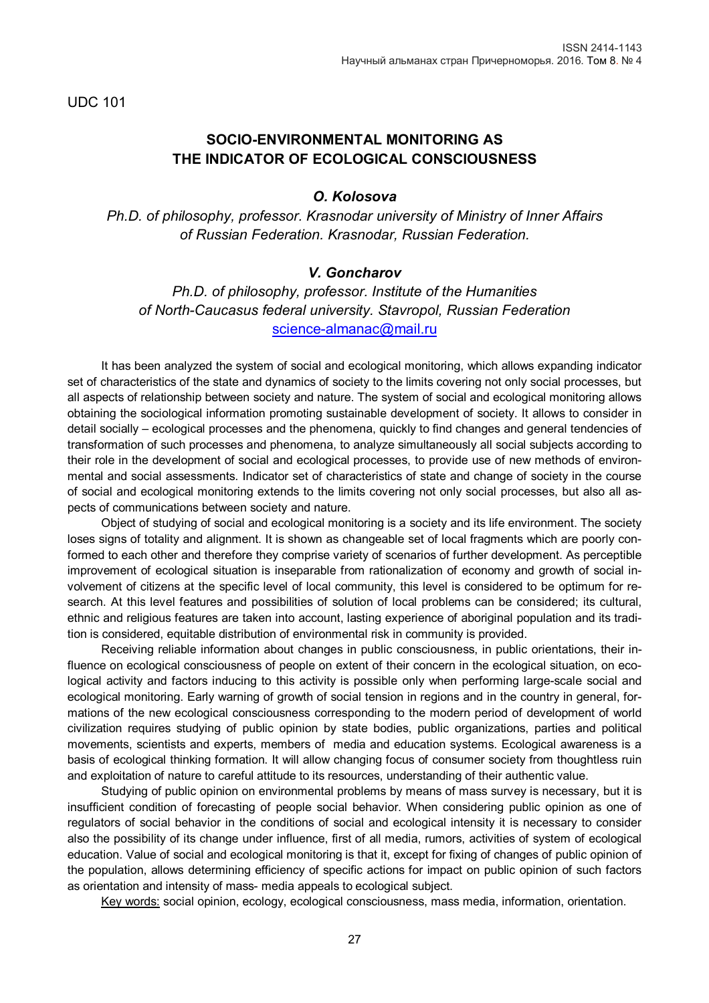UDC 101

# **SOCIO-ENVIRONMENTAL MONITORING AS THE INDICATOR OF ECOLOGICAL CONSCIOUSNESS**

### *O. Kolosova*

*Ph.D. of philosophy, professor. Krasnodar university of Ministry of Inner Affairs of Russian Federation. Krasnodar, Russian Federation.*

### *V. Goncharov*

*Ph.D. of philosophy, professor. Institute of the Humanities of North-Caucasus federal university. Stavropol, Russian Federation* [science-almanac@mail.ru](mailto:science-almanac@mail.ru)

It has been analyzed the system of social and ecological monitoring, which allows expanding indicator set of characteristics of the state and dynamics of society to the limits covering not only social processes, but all aspects of relationship between society and nature. The system of social and ecological monitoring allows obtaining the sociological information promoting sustainable development of society. It allows to consider in detail socially – ecological processes and the phenomena, quickly to find changes and general tendencies of transformation of such processes and phenomena, to analyze simultaneously all social subjects according to their role in the development of social and ecological processes, to provide use of new methods of environmental and social assessments. Indicator set of characteristics of state and change of society in the course of social and ecological monitoring extends to the limits covering not only social processes, but also all aspects of communications between society and nature.

Object of studying of social and ecological monitoring is a society and its life environment. The society loses signs of totality and alignment. It is shown as changeable set of local fragments which are poorly conformed to each other and therefore they comprise variety of scenarios of further development. As perceptible improvement of ecological situation is inseparable from rationalization of economy and growth of social involvement of citizens at the specific level of local community, this level is considered to be optimum for research. At this level features and possibilities of solution of local problems can be considered; its cultural, ethnic and religious features are taken into account, lasting experience of aboriginal population and its tradition is considered, equitable distribution of environmental risk in community is provided.

Receiving reliable information about changes in public consciousness, in public orientations, their influence on ecological consciousness of people on extent of their concern in the ecological situation, on ecological activity and factors inducing to this activity is possible only when performing large-scale social and ecological monitoring. Early warning of growth of social tension in regions and in the country in general, formations of the new ecological consciousness corresponding to the modern period of development of world civilization requires studying of public opinion by state bodies, public organizations, parties and political movements, scientists and experts, members of media and education systems. Ecological awareness is a basis of ecological thinking formation. It will allow changing focus of consumer society from thoughtless ruin and exploitation of nature to careful attitude to its resources, understanding of their authentic value.

Studying of public opinion on environmental problems by means of mass survey is necessary, but it is insufficient condition of forecasting of people social behavior. When considering public opinion as one of regulators of social behavior in the conditions of social and ecological intensity it is necessary to consider also the possibility of its change under influence, first of all media, rumors, activities of system of ecological education. Value of social and ecological monitoring is that it, except for fixing of changes of public opinion of the population, allows determining efficiency of specific actions for impact on public opinion of such factors as orientation and intensity of mass- media appeals to ecological subject.

Key words: social opinion, ecology, ecological consciousness, mass media, information, orientation.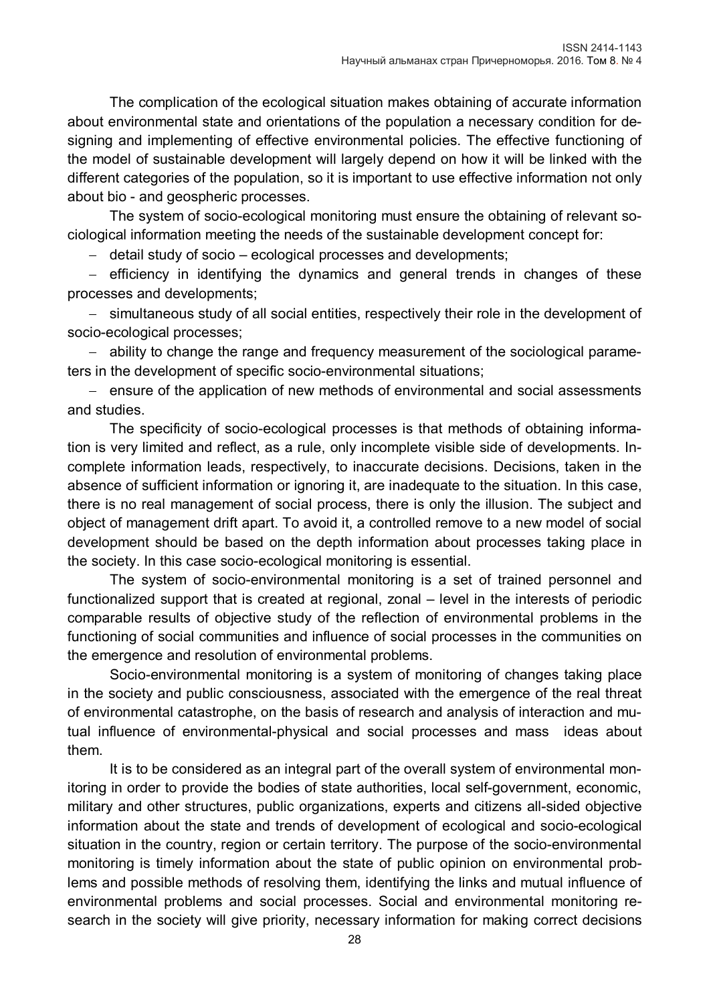The complication of the ecological situation makes obtaining of accurate information about environmental state and orientations of the population a necessary condition for designing and implementing of effective environmental policies. The effective functioning of the model of sustainable development will largely depend on how it will be linked with the different categories of the population, so it is important to use effective information not only about bio - and geospheric processes.

The system of socio-ecological monitoring must ensure the obtaining of relevant sociological information meeting the needs of the sustainable development concept for:

detail study of socio – ecological processes and developments;

 $-$  efficiency in identifying the dynamics and general trends in changes of these processes and developments;

- simultaneous study of all social entities, respectively their role in the development of socio-ecological processes;

 ability to change the range and frequency measurement of the sociological parameters in the development of specific socio-environmental situations;

- ensure of the application of new methods of environmental and social assessments and studies.

The specificity of socio-ecological processes is that methods of obtaining information is very limited and reflect, as a rule, only incomplete visible side of developments. Incomplete information leads, respectively, to inaccurate decisions. Decisions, taken in the absence of sufficient information or ignoring it, are inadequate to the situation. In this case, there is no real management of social process, there is only the illusion. The subject and object of management drift apart. To avoid it, a controlled remove to a new model of social development should be based on the depth information about processes taking place in the society. In this case socio-ecological monitoring is essential.

The system of socio-environmental monitoring is a set of trained personnel and functionalized support that is created at regional, zonal – level in the interests of periodic comparable results of objective study of the reflection of environmental problems in the functioning of social communities and influence of social processes in the communities on the emergence and resolution of environmental problems.

Socio-environmental monitoring is a system of monitoring of changes taking place in the society and public consciousness, associated with the emergence of the real threat of environmental catastrophe, on the basis of research and analysis of interaction and mutual influence of environmental-physical and social processes and mass ideas about them.

It is to be considered as an integral part of the overall system of environmental monitoring in order to provide the bodies of state authorities, local self-government, economic, military and other structures, public organizations, experts and citizens all-sided objective information about the state and trends of development of ecological and socio-ecological situation in the country, region or certain territory. The purpose of the socio-environmental monitoring is timely information about the state of public opinion on environmental problems and possible methods of resolving them, identifying the links and mutual influence of environmental problems and social processes. Social and environmental monitoring research in the society will give priority, necessary information for making correct decisions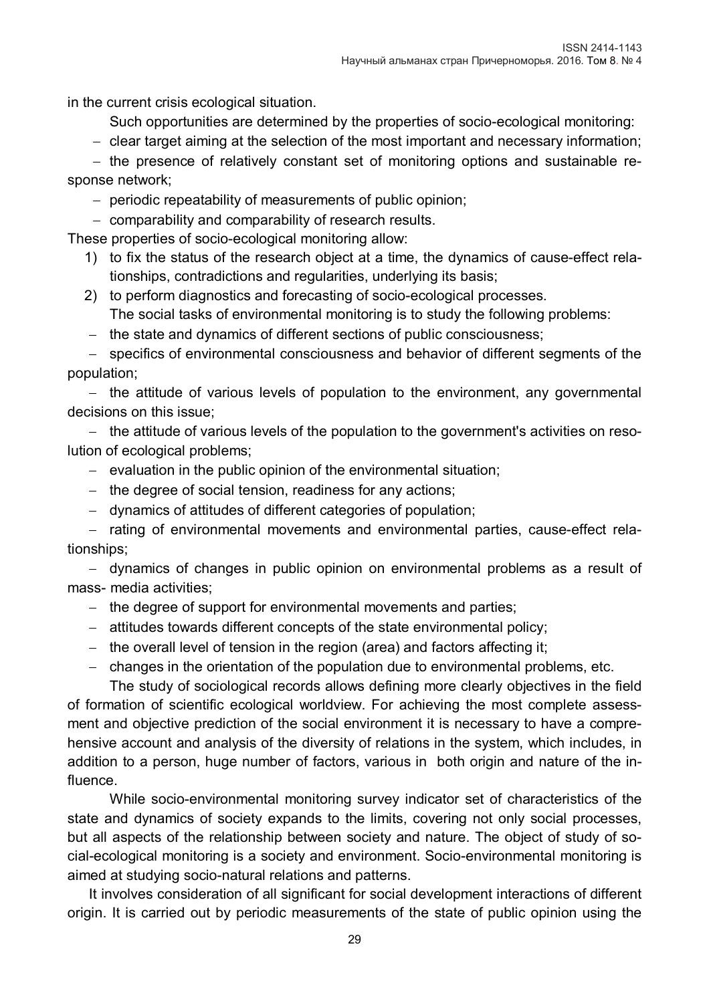in the current crisis ecological situation.

Such opportunities are determined by the properties of socio-ecological monitoring:

- clear target aiming at the selection of the most important and necessary information;

- the presence of relatively constant set of monitoring options and sustainable response network;

- periodic repeatability of measurements of public opinion;
- comparability and comparability of research results.

These properties of socio-ecological monitoring allow:

- 1) to fix the status of the research object at a time, the dynamics of cause-effect relationships, contradictions and regularities, underlying its basis;
- 2) to perform diagnostics and forecasting of socio-ecological processes. The social tasks of environmental monitoring is to study the following problems:
- the state and dynamics of different sections of public consciousness;

 specifics of environmental consciousness and behavior of different segments of the population;

 $-$  the attitude of various levels of population to the environment, any governmental decisions on this issue;

- the attitude of various levels of the population to the government's activities on resolution of ecological problems;

- $-$  evaluation in the public opinion of the environmental situation;
- $-$  the degree of social tension, readiness for any actions;
- dynamics of attitudes of different categories of population;

- rating of environmental movements and environmental parties, cause-effect relationships;

 dynamics of changes in public opinion on environmental problems as a result of mass- media activities;

- the degree of support for environmental movements and parties;
- attitudes towards different concepts of the state environmental policy;
- the overall level of tension in the region (area) and factors affecting it;
- changes in the orientation of the population due to environmental problems, etc.

The study of sociological records allows defining more clearly objectives in the field of formation of scientific ecological worldview. For achieving the most complete assessment and objective prediction of the social environment it is necessary to have a comprehensive account and analysis of the diversity of relations in the system, which includes, in addition to a person, huge number of factors, various in both origin and nature of the influence.

While socio-environmental monitoring survey indicator set of characteristics of the state and dynamics of society expands to the limits, covering not only social processes, but all aspects of the relationship between society and nature. The object of study of social-ecological monitoring is a society and environment. Socio-environmental monitoring is aimed at studying socio-natural relations and patterns.

It involves consideration of all significant for social development interactions of different origin. It is carried out by periodic measurements of the state of public opinion using the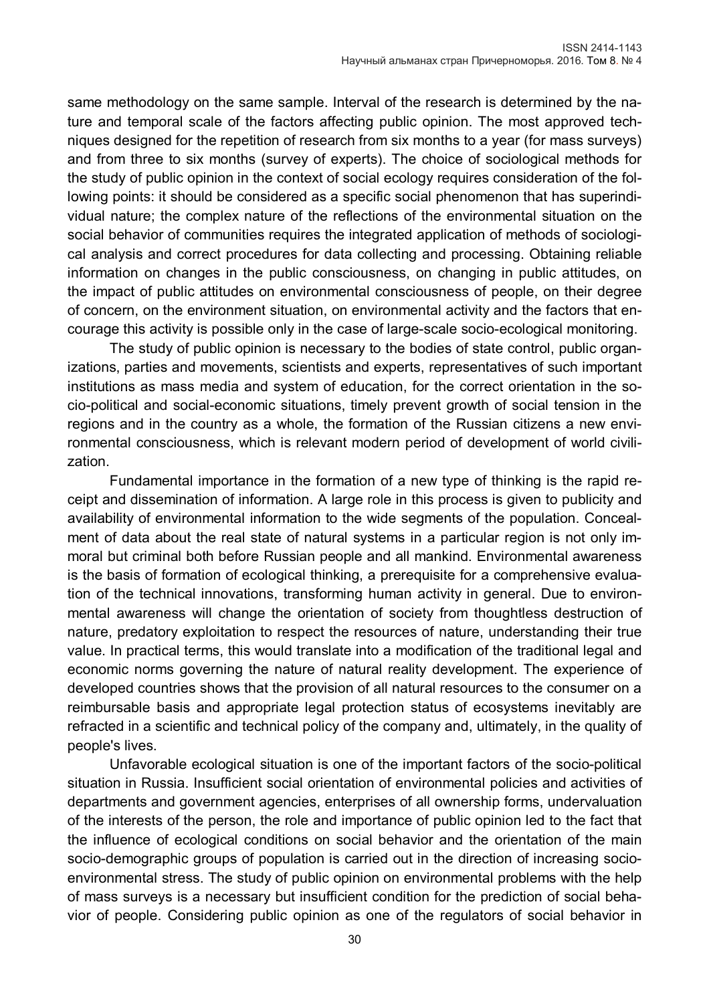same methodology on the same sample. Interval of the research is determined by the nature and temporal scale of the factors affecting public opinion. The most approved techniques designed for the repetition of research from six months to a year (for mass surveys) and from three to six months (survey of experts). The choice of sociological methods for the study of public opinion in the context of social ecology requires consideration of the following points: it should be considered as a specific social phenomenon that has superindividual nature; the complex nature of the reflections of the environmental situation on the social behavior of communities requires the integrated application of methods of sociological analysis and correct procedures for data collecting and processing. Obtaining reliable information on changes in the public consciousness, on changing in public attitudes, on the impact of public attitudes on environmental consciousness of people, on their degree of concern, on the environment situation, on environmental activity and the factors that encourage this activity is possible only in the case of large-scale socio-ecological monitoring.

The study of public opinion is necessary to the bodies of state control, public organizations, parties and movements, scientists and experts, representatives of such important institutions as mass media and system of education, for the correct orientation in the socio-political and social-economic situations, timely prevent growth of social tension in the regions and in the country as a whole, the formation of the Russian citizens a new environmental consciousness, which is relevant modern period of development of world civilization.

Fundamental importance in the formation of a new type of thinking is the rapid receipt and dissemination of information. A large role in this process is given to publicity and availability of environmental information to the wide segments of the population. Concealment of data about the real state of natural systems in a particular region is not only immoral but criminal both before Russian people and all mankind. Environmental awareness is the basis of formation of ecological thinking, a prerequisite for a comprehensive evaluation of the technical innovations, transforming human activity in general. Due to environmental awareness will change the orientation of society from thoughtless destruction of nature, predatory exploitation to respect the resources of nature, understanding their true value. In practical terms, this would translate into a modification of the traditional legal and economic norms governing the nature of natural reality development. The experience of developed countries shows that the provision of all natural resources to the consumer on a reimbursable basis and appropriate legal protection status of ecosystems inevitably are refracted in a scientific and technical policy of the company and, ultimately, in the quality of people's lives.

Unfavorable ecological situation is one of the important factors of the socio-political situation in Russia. Insufficient social orientation of environmental policies and activities of departments and government agencies, enterprises of all ownership forms, undervaluation of the interests of the person, the role and importance of public opinion led to the fact that the influence of ecological conditions on social behavior and the orientation of the main socio-demographic groups of population is carried out in the direction of increasing socioenvironmental stress. The study of public opinion on environmental problems with the help of mass surveys is a necessary but insufficient condition for the prediction of social behavior of people. Considering public opinion as one of the regulators of social behavior in